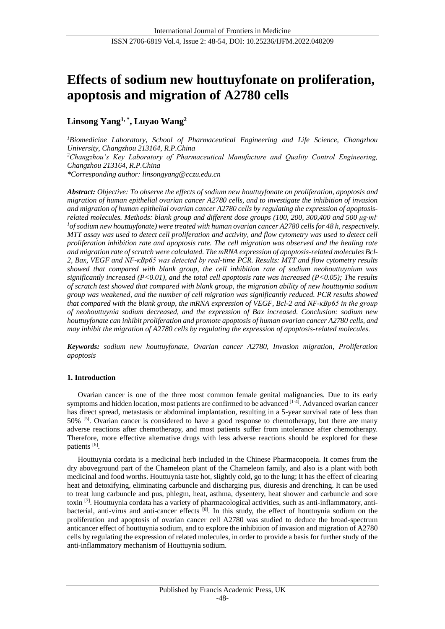# **Effects of sodium new houttuyfonate on proliferation, apoptosis and migration of A2780 cells**

# **Linsong Yang1, \* , Luyao Wang<sup>2</sup>**

*<sup>1</sup>Biomedicine Laboratory, School of Pharmaceutical Engineering and Life Science, Changzhou University, Changzhou 213164, R.P.China <sup>2</sup>Changzhou's Key Laboratory of Pharmaceutical Manufacture and Quality Control Engineering, Changzhou 213164, R.P.China \*Corresponding author: linsongyang@cczu.edu.cn*

*Abstract: Objective: To observe the effects of sodium new houttuyfonate on proliferation, apoptosis and migration of human epithelial ovarian cancer A2780 cells, and to investigate the inhibition of invasion and migration of human epithelial ovarian cancer A2780 cells by regulating the expression of apoptosisrelated molecules. Methods: blank group and different dose groups (100, 200, 300,400 and 500 μg·ml-<sup>1</sup>of sodium new houttuyfonate) were treated with human ovarian cancer A2780 cells for 48 h, respectively. MTT assay was used to detect cell proliferation and activity, and flow cytometry was used to detect cell proliferation inhibition rate and apoptosis rate. The cell migration was observed and the healing rate and migration rate of scratch were calculated. The mRNA expression of apoptosis-related molecules Bcl-2, Bax, VEGF and NF-κBp65 was detected by real-time PCR. Results: MTT and flow cytometry results showed that compared with blank group, the cell inhibition rate of sodium neohouttuynium was significantly increased (P<0.01), and the total cell apoptosis rate was increased (P<0.05); The results of scratch test showed that compared with blank group, the migration ability of new houttuynia sodium group was weakened, and the number of cell migration was significantly reduced. PCR results showed that compared with the blank group, the mRNA expression of VEGF, Bcl-2 and NF-κBp65 in the group of neohouttuynia sodium decreased, and the expression of Bax increased. Conclusion: sodium new houttuyfonate can inhibit proliferation and promote apoptosis of human ovarian cancer A2780 cells, and may inhibit the migration of A2780 cells by regulating the expression of apoptosis-related molecules.*

*Keywords: sodium new houttuyfonate, Ovarian cancer A2780, Invasion migration, Proliferation apoptosis*

# **1. Introduction**

Ovarian cancer is one of the three most common female genital malignancies. Due to its early symptoms and hidden location, most patients are confirmed to be advanced  $[1-4]$ . Advanced ovarian cancer has direct spread, metastasis or abdominal implantation, resulting in a 5-year survival rate of less than 50% [5]. Ovarian cancer is considered to have a good response to chemotherapy, but there are many adverse reactions after chemotherapy, and most patients suffer from intolerance after chemotherapy. Therefore, more effective alternative drugs with less adverse reactions should be explored for these patients [6].

Houttuynia cordata is a medicinal herb included in the Chinese Pharmacopoeia. It comes from the dry aboveground part of the Chameleon plant of the Chameleon family, and also is a plant with both medicinal and food worths. Houttuynia taste hot, slightly cold, go to the lung; It has the effect of clearing heat and detoxifying, eliminating carbuncle and discharging pus, diuresis and drenching. It can be used to treat lung carbuncle and pus, phlegm, heat, asthma, dysentery, heat shower and carbuncle and sore toxin [7]. Houttuynia cordata has a variety of pharmacological activities, such as anti-inflammatory, antibacterial, anti-virus and anti-cancer effects [8]. In this study, the effect of houttuynia sodium on the proliferation and apoptosis of ovarian cancer cell A2780 was studied to deduce the broad-spectrum anticancer effect of houttuynia sodium, and to explore the inhibition of invasion and migration of A2780 cells by regulating the expression of related molecules, in order to provide a basis for further study of the anti-inflammatory mechanism of Houttuynia sodium.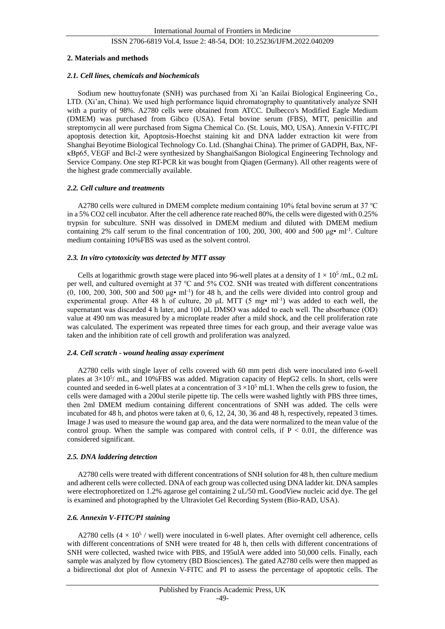#### **2. Materials and methods**

#### *2.1. Cell lines, chemicals and biochemicals*

Sodium new houttuyfonate (SNH) was purchased from Xi 'an Kailai Biological Engineering Co., LTD. (Xi'an, China). We used high performance liquid chromatography to quantitatively analyze SNH with a purity of 98%. A2780 cells were obtained from ATCC. Dulbecco's Modified Eagle Medium (DMEM) was purchased from Gibco (USA). Fetal bovine serum (FBS), MTT, penicillin and streptomycin all were purchased from Sigma Chemical Co. (St. Louis, MO, USA). Annexin V-FITC/PI apoptosis detection kit, Apoptosis-Hoechst staining kit and DNA ladder extraction kit were from Shanghai Beyotime Biological Technology Co. Ltd. (Shanghai China). The primer of GADPH, Bax, NFκBp65, VEGF and Bcl-2 were synthesized by ShanghaiSangon Biological Engineering Technology and Service Company. One step RT-PCR kit was bought from Qiagen (Germany). All other reagents were of the highest grade commercially available.

#### *2.2. Cell culture and treatments*

A2780 cells were cultured in DMEM complete medium containing 10% fetal bovine serum at 37 ℃ in a 5% CO2 cell incubator. After the cell adherence rate reached 80%, the cells were digested with 0.25% trypsin for subculture. SNH was dissolved in DMEM medium and diluted with DMEM medium containing 2% calf serum to the final concentration of 100, 200, 300, 400 and 500  $\mu$ g• ml<sup>-1</sup>. Culture medium containing 10%FBS was used as the solvent control.

#### *2.3. In vitro cytotoxicity was detected by MTT assay*

Cells at logarithmic growth stage were placed into 96-well plates at a density of  $1 \times 10^5$ /mL, 0.2 mL per well, and cultured overnight at 37 ℃ and 5% CO2. SNH was treated with different concentrations  $(0, 100, 200, 300, 500$  and  $500 \mu g \cdot ml^{-1}$  for 48 h, and the cells were divided into control group and experimental group. After 48 h of culture, 20  $\mu$ L MTT (5 mg• ml<sup>-1</sup>) was added to each well, the supernatant was discarded 4 h later, and 100 μL DMSO was added to each well. The absorbance (OD) value at 490 nm was measured by a microplate reader after a mild shock, and the cell proliferation rate was calculated. The experiment was repeated three times for each group, and their average value was taken and the inhibition rate of cell growth and proliferation was analyzed.

#### *2.4. Cell scratch - wound healing assay experiment*

A2780 cells with single layer of cells covered with 60 mm petri dish were inoculated into 6-well plates at  $3\times10^{5}/$  mL, and 10%FBS was added. Migration capacity of HepG2 cells. In short, cells were counted and seeded in 6-well plates at a concentration of  $3 \times 10^5$  mL1. When the cells grew to fusion, the cells were damaged with a 200ul sterile pipette tip. The cells were washed lightly with PBS three times, then 2ml DMEM medium containing different concentrations of SNH was added. The cells were incubated for 48 h, and photos were taken at 0, 6, 12, 24, 30, 36 and 48 h, respectively, repeated 3 times. Image J was used to measure the wound gap area, and the data were normalized to the mean value of the control group. When the sample was compared with control cells, if  $P < 0.01$ , the difference was considered significant.

## *2.5. DNA laddering detection*

A2780 cells were treated with different concentrations of SNH solution for 48 h, then culture medium and adherent cells were collected. DNA of each group was collected using DNA ladder kit. DNA samples were electrophoretized on 1.2% agarose gel containing 2 uL/50 mL GoodView nucleic acid dye. The gel is examined and photographed by the Ultraviolet Gel Recording System (Bio-RAD, USA).

## *2.6. Annexin V-FITC/PI staining*

A2780 cells ( $4 \times 10^5$  / well) were inoculated in 6-well plates. After overnight cell adherence, cells with different concentrations of SNH were treated for 48 h, then cells with different concentrations of SNH were collected, washed twice with PBS, and 195ulA were added into 50,000 cells. Finally, each sample was analyzed by flow cytometry (BD Biosciences). The gated A2780 cells were then mapped as a bidirectional dot plot of Annexin V-FITC and PI to assess the percentage of apoptotic cells. The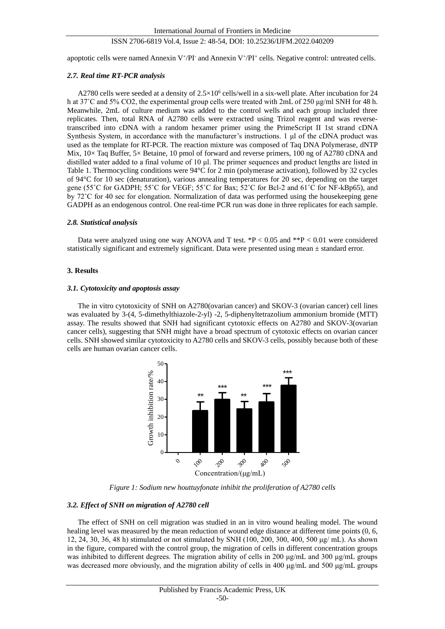apoptotic cells were named Annexin  $V^+/PI^-$  and Annexin  $V^+/PI^+$  cells. Negative control: untreated cells.

#### *2.7. Real time RT-PCR analysis*

A2780 cells were seeded at a density of  $2.5 \times 10^6$  cells/well in a six-well plate. After incubation for 24 h at 37˚C and 5% CO2, the experimental group cells were treated with 2mL of 250 μg/ml SNH for 48 h. Meanwhile, 2mL of culture medium was added to the control wells and each group included three replicates. Then, total RNA of A2780 cells were extracted using Trizol reagent and was reversetranscribed into cDNA with a random hexamer primer using the PrimeScript II 1st strand cDNA Synthesis System, in accordance with the manufacturer's instructions. 1 μl of the cDNA product was used as the template for RT-PCR. The reaction mixture was composed of Taq DNA Polymerase, dNTP Mix,  $10 \times$  Taq Buffer,  $5 \times$  Betaine, 10 pmol of forward and reverse primers, 100 ng of A2780 cDNA and distilled water added to a final volume of 10 μl. The primer sequences and product lengths are listed in Table 1. Thermocycling conditions were  $94 \, \text{C}$  for 2 min (polymerase activation), followed by 32 cycles of 94°C for 10 sec (denaturation), various annealing temperatures for 20 sec, depending on the target gene (55˚C for GADPH; 55˚C for VEGF; 55˚C for Bax; 52˚C for Bcl-2 and 61˚C for NF-kBp65), and by 72˚C for 40 sec for elongation. Normalization of data was performed using the housekeeping gene GADPH as an endogenous control. One real-time PCR run was done in three replicates for each sample.

#### *2.8. Statistical analysis*

Data were analyzed using one way ANOVA and T test. \*P < 0.05 and \*\*P < 0.01 were considered statistically significant and extremely significant. Data were presented using mean ± standard error.

#### **3. Results**

#### *3.1. Cytotoxicity and apoptosis assay*

The in vitro cytotoxicity of SNH on A2780(ovarian cancer) and SKOV-3 (ovarian cancer) cell lines was evaluated by 3-(4, 5-dimethylthiazole-2-yl) -2, 5-diphenyltetrazolium ammonium bromide (MTT) assay. The results showed that SNH had significant cytotoxic effects on A2780 and SKOV-3(ovarian cancer cells), suggesting that SNH might have a broad spectrum of cytotoxic effects on ovarian cancer cells. SNH showed similar cytotoxicity to A2780 cells and SKOV-3 cells, possibly because both of these cells are human ovarian cancer cells.



*Figure 1: Sodium new houttuyfonate inhibit the proliferation of A2780 cells*

#### *3.2. Effect of SNH on migration of A2780 cell*

The effect of SNH on cell migration was studied in an in vitro wound healing model. The wound healing level was measured by the mean reduction of wound edge distance at different time points (0, 6, 12, 24, 30, 36, 48 h) stimulated or not stimulated by SNH (100, 200, 300, 400, 500 μg/ mL). As shown in the figure, compared with the control group, the migration of cells in different concentration groups was inhibited to different degrees. The migration ability of cells in 200 μg/mL and 300 μg/mL groups was decreased more obviously, and the migration ability of cells in 400 μg/mL and 500 μg/mL groups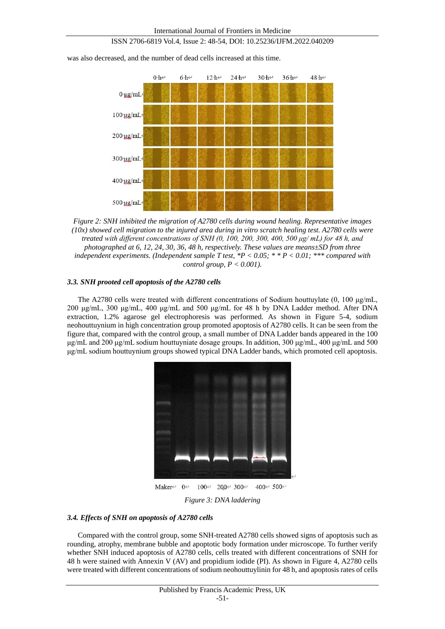

was also decreased, and the number of dead cells increased at this time.

*Figure 2: SNH inhibited the migration of A2780 cells during wound healing. Representative images (10x) showed cell migration to the injured area during in vitro scratch healing test. A2780 cells were treated with different concentrations of SNH (0, 100, 200, 300, 400, 500 μg/ mL) for 48 h, and photographed at 6, 12, 24, 30, 36, 48 h, respectively. These values are means±SD from three independent experiments. (Independent sample T test, \*P < 0.05; \* \* P < 0.01; \*\*\* compared with control group, P < 0.001).*

#### *3.3. SNH prooted cell apoptosis of the A2780 cells*

The A2780 cells were treated with different concentrations of Sodium houttuylate (0, 100 μg/mL, 200 μg/mL, 300 μg/mL, 400 μg/mL and 500 μg/mL for 48 h by DNA Ladder method. After DNA extraction, 1.2% agarose gel electrophoresis was performed. As shown in Figure 5-4, sodium neohouttuynium in high concentration group promoted apoptosis of A2780 cells. It can be seen from the figure that, compared with the control group, a small number of DNA Ladder bands appeared in the 100 μg/mL and 200 μg/mL sodium houttuyniate dosage groups. In addition, 300 μg/mL, 400 μg/mL and 500 μg/mL sodium houttuynium groups showed typical DNA Ladder bands, which promoted cell apoptosis.



Maker $\leftarrow$  0 $\leftarrow$  $100$ <sup> $\leftarrow$ </sup> 200 $\leftarrow$  300 $\leftarrow$ 400← 500← *Figure 3: DNA laddering*

#### *3.4. Effects of SNH on apoptosis of A2780 cells*

Compared with the control group, some SNH-treated A2780 cells showed signs of apoptosis such as rounding, atrophy, membrane bubble and apoptotic body formation under microscope. To further verify whether SNH induced apoptosis of A2780 cells, cells treated with different concentrations of SNH for 48 h were stained with Annexin V (AV) and propidium iodide (PI). As shown in Figure 4, A2780 cells were treated with different concentrations of sodium neohouttuylinin for 48 h, and apoptosis rates of cells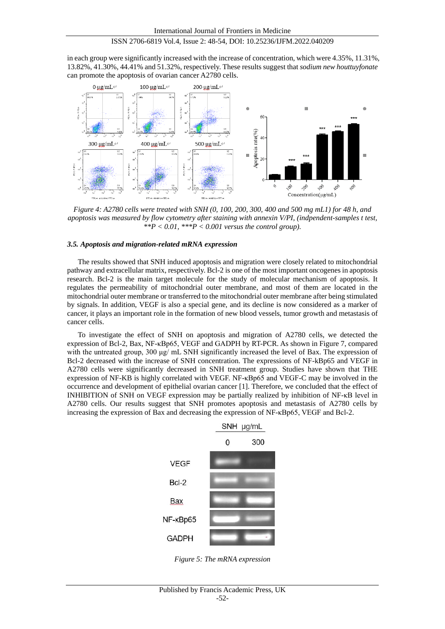in each group were significantly increased with the increase of concentration, which were 4.35%, 11.31%, 13.82%, 41.30%, 44.41% and 51.32%, respectively. These results suggest that *sodium new houttuyfonate*  can promote the apoptosis of ovarian cancer A2780 cells.



*Figure 4: A2780 cells were treated with SNH (0, 100, 200, 300, 400 and 500 mg mL1) for 48 h, and apoptosis was measured by flow cytometry after staining with annexin V/PI, (indpendent-samples t test,*   $*$ <sup>\*</sup> $P$  < 0.01,  $*$ <sup>\*</sup> $P$  < 0.001 versus the control group).

#### *3.5. Apoptosis and migration-related mRNA expression*

The results showed that SNH induced apoptosis and migration were closely related to mitochondrial pathway and extracellular matrix, respectively. Bcl-2 is one of the most important oncogenes in apoptosis research. Bcl-2 is the main target molecule for the study of molecular mechanism of apoptosis. It regulates the permeability of mitochondrial outer membrane, and most of them are located in the mitochondrial outer membrane or transferred to the mitochondrial outer membrane after being stimulated by signals. In addition, VEGF is also a special gene, and its decline is now considered as a marker of cancer, it plays an important role in the formation of new blood vessels, tumor growth and metastasis of cancer cells.

To investigate the effect of SNH on apoptosis and migration of A2780 cells, we detected the expression of Bcl-2, Bax, NF-κBp65, VEGF and GADPH by RT-PCR. As shown in Figure 7, compared with the untreated group, 300 μg/ mL SNH significantly increased the level of Bax. The expression of Bcl-2 decreased with the increase of SNH concentration. The expressions of NF-kBp65 and VEGF in A2780 cells were significantly decreased in SNH treatment group. Studies have shown that THE expression of NF-KB is highly correlated with VEGF. NF-κBp65 and VEGF-C may be involved in the occurrence and development of epithelial ovarian cancer [1]. Therefore, we concluded that the effect of INHIBITION of SNH on VEGF expression may be partially realized by inhibition of NF-κB level in A2780 cells. Our results suggest that SNH promotes apoptosis and metastasis of A2780 cells by increasing the expression of Bax and decreasing the expression of NF-κBp65, VEGF and Bcl-2.



*Figure 5: The mRNA expression*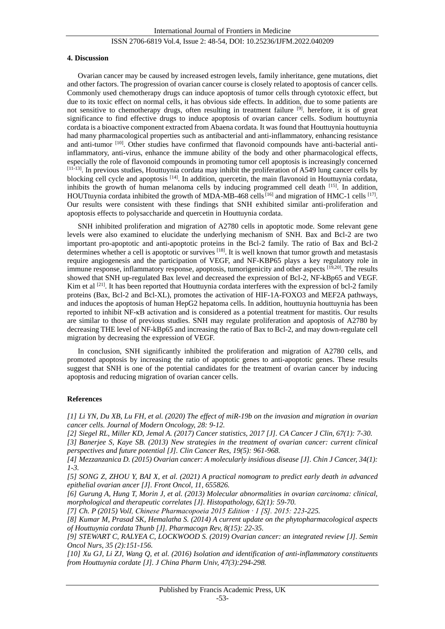#### **4. Discussion**

Ovarian cancer may be caused by increased estrogen levels, family inheritance, gene mutations, diet and other factors. The progression of ovarian cancer course is closely related to apoptosis of cancer cells. Commonly used chemotherapy drugs can induce apoptosis of tumor cells through cytotoxic effect, but due to its toxic effect on normal cells, it has obvious side effects. In addition, due to some patients are not sensitive to chemotherapy drugs, often resulting in treatment failure [9]. herefore, it is of great significance to find effective drugs to induce apoptosis of ovarian cancer cells. Sodium houttuynia cordata is a bioactive component extracted from Abaena cordata. It was found that Houttuynia houttuynia had many pharmacological properties such as antibacterial and anti-inflammatory, enhancing resistance and anti-tumor  $[10]$ . Other studies have confirmed that flavonoid compounds have anti-bacterial antiinflammatory, anti-virus, enhance the immune ability of the body and other pharmacological effects, especially the role of flavonoid compounds in promoting tumor cell apoptosis is increasingly concerned [11-13]. In previous studies, Houttuynia cordata may inhibit the proliferation of A549 lung cancer cells by blocking cell cycle and apoptosis [14]. In addition, quercetin, the main flavonoid in Houttuynia cordata, inhibits the growth of human melanoma cells by inducing programmed cell death  $[15]$ . In addition, HOUTtuynia cordata inhibited the growth of MDA-MB-468 cells  $^{[16]}$  and migration of HMC-1 cells  $^{[17]}$ . Our results were consistent with these findings that SNH exhibited similar anti-proliferation and apoptosis effects to polysaccharide and quercetin in Houttuynia cordata.

SNH inhibited proliferation and migration of A2780 cells in apoptotic mode. Some relevant gene levels were also examined to elucidate the underlying mechanism of SNH. Bax and Bcl-2 are two important pro-apoptotic and anti-apoptotic proteins in the Bcl-2 family. The ratio of Bax and Bcl-2 determines whether a cell is apoptotic or survives [18]. It is well known that tumor growth and metastasis require angiogenesis and the participation of VEGF, and NF-KBP65 plays a key regulatory role in immune response, inflammatory response, apoptosis, tumorigenicity and other aspects <sup>[19,20]</sup>. The results showed that SNH up-regulated Bax level and decreased the expression of Bcl-2, NF-kBp65 and VEGF. Kim et al <sup>[21]</sup>. It has been reported that Houttuynia cordata interferes with the expression of bcl-2 family proteins (Bax, Bcl-2 and Bcl-XL), promotes the activation of HIF-1A-FOXO3 and MEF2A pathways, and induces the apoptosis of human HepG2 hepatoma cells. In addition, houttuynia houttuynia has been reported to inhibit NF-κB activation and is considered as a potential treatment for mastitis. Our results are similar to those of previous studies. SNH may regulate proliferation and apoptosis of A2780 by decreasing THE level of NF-kBp65 and increasing the ratio of Bax to Bcl-2, and may down-regulate cell migration by decreasing the expression of VEGF.

In conclusion, SNH significantly inhibited the proliferation and migration of A2780 cells, and promoted apoptosis by increasing the ratio of apoptotic genes to anti-apoptotic genes. These results suggest that SNH is one of the potential candidates for the treatment of ovarian cancer by inducing apoptosis and reducing migration of ovarian cancer cells.

#### **References**

*[1] Li YN, Du XB, Lu FH, et al. (2020) The effect of miR-19b on the invasion and migration in ovarian cancer cells. Journal of Modern Oncology, 28: 9-12.*

*[2] Siegel RL, Miller KD, Jemal A. (2017) Cancer statistics, 2017 [J]. CA Cancer J Clin, 67(1): 7-30.*

*[3] Banerjee S, Kaye SB. (2013) New strategies in the treatment of ovarian cancer: current clinical perspectives and future potential [J]. Clin Cancer Res, 19(5): 961-968.*

*[4] Mezzanzanica D. (2015) Ovarian cancer: A molecularly insidious disease [J]. Chin J Cancer, 34(1): 1-3.*

*[5] SONG Z, ZHOU Y, BAI X, et al. (2021) A practical nomogram to predict early death in advanced epithelial ovarian ancer [J]. Front Oncol, 11, 655826.*

*[6] Gurung A, Hung T, Morin J, et al. (2013) Molecular abnormalities in ovarian carcinoma: clinical, morphological and therapeutic correlates [J]. Histopathology, 62(1): 59-70.*

*[7] Ch. P (2015) VolⅠ, Chinese Pharmacopoeia 2015 Edition · 1 [S]. 2015: 223-225.*

*[8] Kumar M, Prasad SK, Hemalatha S. (2014) A current update on the phytopharmacological aspects of Houttuynia cordata Thunb [J]. Pharmacogn Rev, 8(15): 22-35.*

*[9] STEWART C, RALYEA C, LOCKWOOD S. (2019) Ovarian cancer: an integrated review [J]. Semin Oncol Nurs, 35 (2):151-156.*

*[10] Xu GJ, Li ZJ, Wang Q, et al. (2016) Isolation and identification of anti-inflammatory constituents from Houttuynia cordate [J]. J China Pharm Univ, 47(3):294-298.*